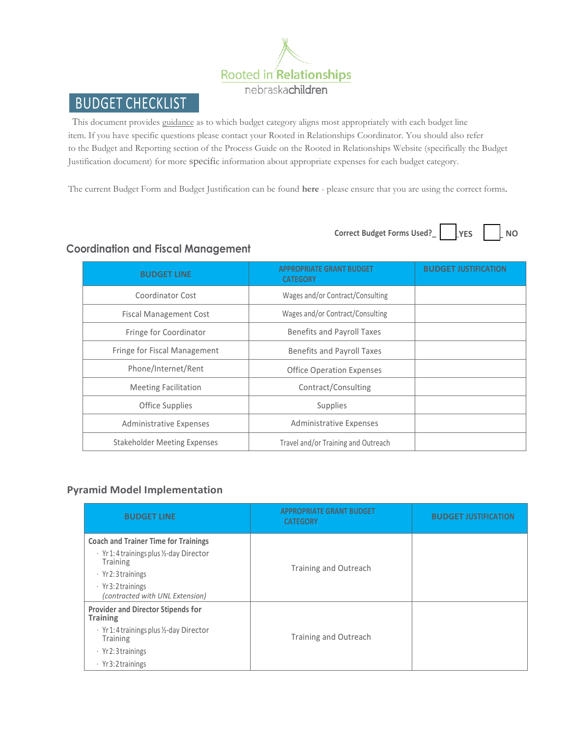

# BUDGET CHECKLIST

This document provides guidance as to which budget category aligns most appropriately with each budget line item. If you have specific questions please contact your Rooted in Relationships Coordinator. You should also refer to the Budget and Reporting section of the Process Guide on the Rooted in Relationships Website (specifically the Budget Justification document) for more specific information about appropriate expenses for each budget category.

The current Budget Form and Budget Justification can be found **[here](https://rootedinrelationships.org/resources/process-guide/budget-and-reporting.html)** - please ensure that you are using the correct forms.

 $Correct$  **Budget Forms**  $Used?$  **WES** 



### **Coordination and Fiscal Management**

| <b>BUDGET LINE</b>             | <b>APPROPRIATE GRANT BUDGET</b><br><b>CATEGORY</b> | <b>BUDGET JUSTIFICA</b> |
|--------------------------------|----------------------------------------------------|-------------------------|
| Coordinator Cost               | Wages and/or Contract/Consulting                   |                         |
| <b>Fiscal Management Cost</b>  | Wages and/or Contract/Consulting                   |                         |
| Fringe for Coordinator         | <b>Benefits and Payroll Taxes</b>                  |                         |
| Fringe for Fiscal Management   | Benefits and Payroll Taxes                         |                         |
| Phone/Internet/Rent            | <b>Office Operation Expenses</b>                   |                         |
| <b>Meeting Facilitation</b>    | Contract/Consulting                                |                         |
| <b>Office Supplies</b>         | Supplies                                           |                         |
| <b>Administrative Expenses</b> | <b>Administrative Expenses</b>                     |                         |
| Stakeholder Meeting Expenses   | Travel and/or Training and Outreach                |                         |

#### **Pyramid Model Implementation**

| <b>BUDGET LINE</b>                                                                                                                                                                                | <b>APPROPRIATE GRANT BUDGET</b><br><b>CATEGORY</b> | <b>BUDGET JUSTIFICATION</b> |
|---------------------------------------------------------------------------------------------------------------------------------------------------------------------------------------------------|----------------------------------------------------|-----------------------------|
| <b>Coach and Trainer Time for Trainings</b><br>· Yr1:4 trainings plus ½-day Director<br><b>Training</b><br>$\cdot$ Yr2:3 trainings<br>$\cdot$ Yr 3:2 trainings<br>(contracted with UNL Extension) | Training and Outreach                              |                             |
| <b>Provider and Director Stipends for</b><br><b>Training</b><br>· Yr1:4 trainings plus ½-day Director<br>Training<br>$\cdot$ Yr2:3 trainings<br>$\cdot$ Yr 3:2 trainings                          | Training and Outreach                              |                             |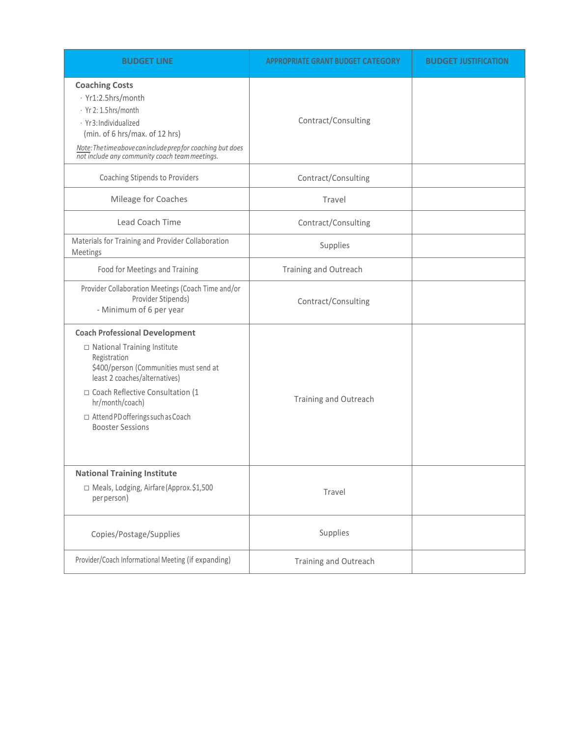| <b>BUDGET LINE</b>                                                                                                                                                                                                                                                                                | <b>APPROPRIATE GRANT BUDGET CATEGORY</b> | <b>BUDGET JUSTIFICATION</b> |
|---------------------------------------------------------------------------------------------------------------------------------------------------------------------------------------------------------------------------------------------------------------------------------------------------|------------------------------------------|-----------------------------|
| <b>Coaching Costs</b><br>· Yr1:2.5hrs/month<br>· Yr 2: 1.5 hrs/month<br>· Yr3: Individualized<br>(min. of 6 hrs/max. of 12 hrs)<br>Note: The time above can include prepfor coaching but does<br>not include any community coach team meetings.                                                   | Contract/Consulting                      |                             |
| Coaching Stipends to Providers                                                                                                                                                                                                                                                                    | Contract/Consulting                      |                             |
| Mileage for Coaches                                                                                                                                                                                                                                                                               | Travel                                   |                             |
| Lead Coach Time                                                                                                                                                                                                                                                                                   | Contract/Consulting                      |                             |
| Materials for Training and Provider Collaboration<br>Meetings                                                                                                                                                                                                                                     | Supplies                                 |                             |
| Food for Meetings and Training                                                                                                                                                                                                                                                                    | Training and Outreach                    |                             |
| Provider Collaboration Meetings (Coach Time and/or<br>Provider Stipends)<br>- Minimum of 6 per year                                                                                                                                                                                               | Contract/Consulting                      |                             |
| <b>Coach Professional Development</b><br>□ National Training Institute<br>Registration<br>\$400/person (Communities must send at<br>least 2 coaches/alternatives)<br>□ Coach Reflective Consultation (1<br>hr/month/coach)<br>$\Box$ Attend PD offerings such as Coach<br><b>Booster Sessions</b> | Training and Outreach                    |                             |
| <b>National Training Institute</b><br>□ Meals, Lodging, Airfare(Approx.\$1,500<br>per person)                                                                                                                                                                                                     | Travel                                   |                             |
| Copies/Postage/Supplies                                                                                                                                                                                                                                                                           | Supplies                                 |                             |
| Provider/Coach Informational Meeting (if expanding)                                                                                                                                                                                                                                               | Training and Outreach                    |                             |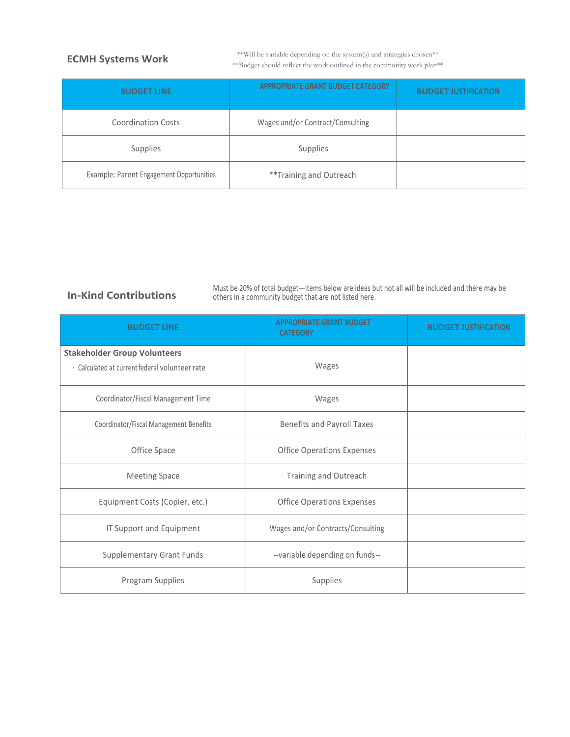#### **ECMH Systems Work**

\*\*Will be variable depending on the system(s) and strategies chosen\*\* \*\*Budget should reflect the work outlined in the community work plan\*\*

| <b>BUDGET LINE</b>                       | <b>APPROPRIATE GRANT BUDGET CATEGORY</b> | <b>BUDGET JUSTIFICATION</b> |
|------------------------------------------|------------------------------------------|-----------------------------|
| <b>Coordination Costs</b>                | Wages and/or Contract/Consulting         |                             |
| Supplies                                 | Supplies                                 |                             |
| Example: Parent Engagement Opportunities | **Training and Outreach                  |                             |

#### **In-Kind Contributions**

Must be 20% of total budget—items below are ideas but not all will be included and there may be others in a community budget that are not listed here.

| <b>BUDGET LINE</b>                                                                    | <b>APPROPRIATE GRANT BUDGET</b><br><b>CATEGORY</b> | <b>BUDGET JUSTIFICATION</b> |
|---------------------------------------------------------------------------------------|----------------------------------------------------|-----------------------------|
| <b>Stakeholder Group Volunteers</b><br>· Calculated at current federal volunteer rate | Wages                                              |                             |
| Coordinator/Fiscal Management Time                                                    | Wages                                              |                             |
| Coordinator/Fiscal Management Benefits                                                | <b>Benefits and Payroll Taxes</b>                  |                             |
| Office Space                                                                          | <b>Office Operations Expenses</b>                  |                             |
| <b>Meeting Space</b>                                                                  | Training and Outreach                              |                             |
| Equipment Costs (Copier, etc.)                                                        | <b>Office Operations Expenses</b>                  |                             |
| IT Support and Equipment                                                              | Wages and/or Contracts/Consulting                  |                             |
| <b>Supplementary Grant Funds</b>                                                      | --variable depending on funds--                    |                             |
| Program Supplies                                                                      | Supplies                                           |                             |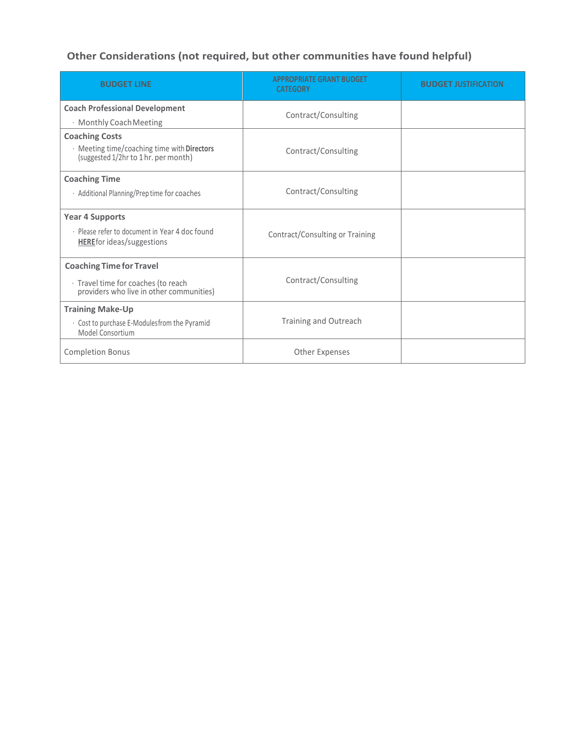## **Other Considerations (not required, but other communities have found helpful)**

| <b>BUDGET LINE</b>                                                                  | <b>APPROPRIATE GRANT BUDGET</b><br><b>CATEGORY</b> | <b>BUDGET JUSTIFICATION</b> |
|-------------------------------------------------------------------------------------|----------------------------------------------------|-----------------------------|
| <b>Coach Professional Development</b>                                               | Contract/Consulting                                |                             |
| · Monthly Coach Meeting                                                             |                                                    |                             |
| <b>Coaching Costs</b>                                                               |                                                    |                             |
| · Meeting time/coaching time with Directors<br>(suggested 1/2hr to 1 hr. per month) | Contract/Consulting                                |                             |
| <b>Coaching Time</b>                                                                |                                                    |                             |
| · Additional Planning/Preptime for coaches                                          | Contract/Consulting                                |                             |
| <b>Year 4 Supports</b>                                                              |                                                    |                             |
| · Please refer to document in Year 4 doc found<br><b>HEREfor ideas/suggestions</b>  | Contract/Consulting or Training                    |                             |
| <b>Coaching Time for Travel</b>                                                     |                                                    |                             |
| · Travel time for coaches (to reach<br>providers who live in other communities)     | Contract/Consulting                                |                             |
| <b>Training Make-Up</b>                                                             |                                                    |                             |
| · Cost to purchase E-Modules from the Pyramid<br>Model Consortium                   | Training and Outreach                              |                             |
| <b>Completion Bonus</b>                                                             | <b>Other Expenses</b>                              |                             |